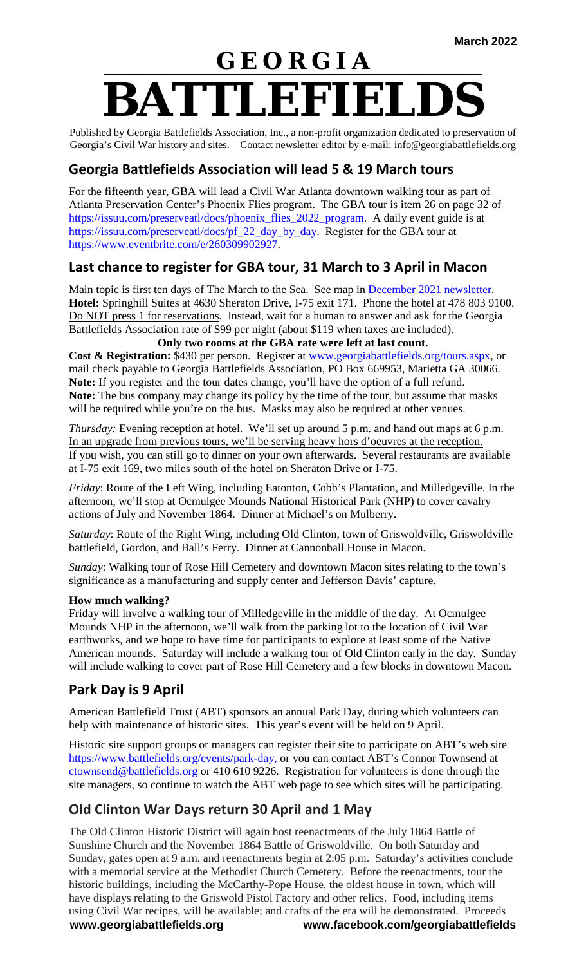# **G E O R G I A BATTLEFIELDS**

Published by Georgia Battlefields Association, Inc., a non-profit organization dedicated to preservation of Georgia's Civil War history and sites. Contact newsletter editor by e-mail: info@georgiabattlefields.org

## **Georgia Battlefields Association will lead 5 & 19 March tours**

For the fifteenth year, GBA will lead a Civil War Atlanta downtown walking tour as part of Atlanta Preservation Center's Phoenix Flies program. The GBA tour is item 26 on page 32 of [https://issuu.com/preserveatl/docs/phoenix\\_flies\\_2022\\_program.](https://issuu.com/preserveatl/docs/phoenix_flies_2022_program) A daily event guide is at [https://issuu.com/preserveatl/docs/pf\\_22\\_day\\_by\\_day.](https://issuu.com/preserveatl/docs/pf_22_day_by_day) Register for the GBA tour at [https://www.eventbrite.com/e/260309902927.](https://www.eventbrite.com/e/260309902927)

## **Last chance to register for GBA tour, 31 March to 3 April in Macon**

Main topic is first ten days of The March to the Sea. See map in [December 2021 newsletter.](http://georgiabattlefields.org/newsletters.aspx) **Hotel:** Springhill Suites at 4630 Sheraton Drive, I-75 exit 171. Phone the hotel at 478 803 9100. Do NOT press 1 for reservations. Instead, wait for a human to answer and ask for the Georgia Battlefields Association rate of \$99 per night (about \$119 when taxes are included).

**Only two rooms at the GBA rate were left at last count. Cost & Registration:** \$430 per person. Register at [www.georgiabattlefields.org/tours.aspx,](http://www.georgiabattlefields.org/tours.aspx) or mail check payable to Georgia Battlefields Association, PO Box 669953, Marietta GA 30066. **Note:** If you register and the tour dates change, you'll have the option of a full refund. **Note:** The bus company may change its policy by the time of the tour, but assume that masks will be required while you're on the bus. Masks may also be required at other venues.

*Thursday:* Evening reception at hotel. We'll set up around 5 p.m. and hand out maps at 6 p.m. In an upgrade from previous tours, we'll be serving heavy hors d'oeuvres at the reception. If you wish, you can still go to dinner on your own afterwards. Several restaurants are available at I-75 exit 169, two miles south of the hotel on Sheraton Drive or I-75.

*Friday*: Route of the Left Wing, including Eatonton, Cobb's Plantation, and Milledgeville. In the afternoon, we'll stop at Ocmulgee Mounds National Historical Park (NHP) to cover cavalry actions of July and November 1864. Dinner at Michael's on Mulberry.

*Saturday*: Route of the Right Wing, including Old Clinton, town of Griswoldville, Griswoldville battlefield, Gordon, and Ball's Ferry. Dinner at Cannonball House in Macon.

*Sunday*: Walking tour of Rose Hill Cemetery and downtown Macon sites relating to the town's significance as a manufacturing and supply center and Jefferson Davis' capture.

#### **How much walking?**

Friday will involve a walking tour of Milledgeville in the middle of the day. At Ocmulgee Mounds NHP in the afternoon, we'll walk from the parking lot to the location of Civil War earthworks, and we hope to have time for participants to explore at least some of the Native American mounds. Saturday will include a walking tour of Old Clinton early in the day. Sunday will include walking to cover part of Rose Hill Cemetery and a few blocks in downtown Macon.

#### **Park Day is 9 April**

American Battlefield Trust (ABT) sponsors an annual Park Day, during which volunteers can help with maintenance of historic sites. This year's event will be held on 9 April.

Historic site support groups or managers can register their site to participate on ABT's web site [https://www.battlefields.org/events/park-day,](https://www.battlefields.org/events/park-day) or you can contact ABT's Connor Townsend at [ctownsend@battlefields.org](mailto:ctownsend@battlefields.org) or 410 610 9226. Registration for volunteers is done through the site managers, so continue to watch the ABT web page to see which sites will be participating.

## **Old Clinton War Days return 30 April and 1 May**

**www.georgiabattlefields.org www.facebook.com/georgiabattlefields** The Old Clinton Historic District will again host reenactments of the July 1864 Battle of Sunshine Church and the November 1864 Battle of Griswoldville. On both Saturday and Sunday, gates open at 9 a.m. and reenactments begin at 2:05 p.m. Saturday's activities conclude with a memorial service at the Methodist Church Cemetery. Before the reenactments, tour the historic buildings, including the McCarthy-Pope House, the oldest house in town, which will have displays relating to the Griswold Pistol Factory and other relics. Food, including items using Civil War recipes, will be available; and crafts of the era will be demonstrated. Proceeds